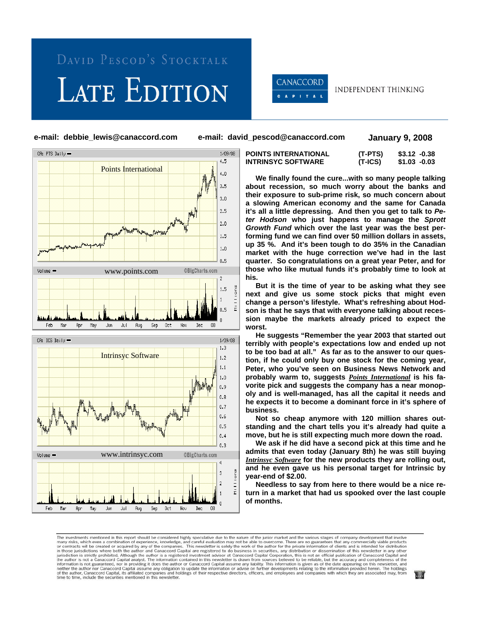## LATE EDITION



**INDEPENDENT THINKING** 

**e-mail: debbie\_lewis@canaccord.com e-mail: david\_pescod@canaccord.com January 9, 2008** 



| <b>POINTS INTERNATIONAL</b> | (T-PTS) | $$3.12 -0.38$ |
|-----------------------------|---------|---------------|
| <b>INTRINSYC SOFTWARE</b>   | (T-ICS) | \$1.03 -0.03  |

 **We finally found the cure...with so many people talking about recession, so much worry about the banks and their exposure to sub-prime risk, so much concern about a slowing American economy and the same for Canada it's all a little depressing. And then you get to talk to** *Peter Hodson* **who just happens to manage the** *Sprott Growth Fund* **which over the last year was the best performing fund we can find over 50 million dollars in assets, up 35 %. And it's been tough to do 35% in the Canadian market with the huge correction we've had in the last quarter. So congratulations on a great year Peter, and for those who like mutual funds it's probably time to look at his.** 

 **But it is the time of year to be asking what they see next and give us some stock picks that might even change a person's lifestyle. What's refreshing about Hodson is that he says that with everyone talking about recession maybe the markets already priced to expect the worst.** 

 **He suggests "Remember the year 2003 that started out terribly with people's expectations low and ended up not to be too bad at all." As far as to the answer to our question, if he could only buy one stock for the coming year, Peter, who you've seen on Business News Network and probably warm to, suggests** *Points International* **is his favorite pick and suggests the company has a near monopoly and is well-managed, has all the capital it needs and he expects it to become a dominant force in it's sphere of business.** 

 **Not so cheap anymore with 120 million shares outstanding and the chart tells you it's already had quite a move, but he is still expecting much more down the road.** 

 **We ask if he did have a second pick at this time and he admits that even today (January 8th) he was still buying**  *Intrinsyc Software* **for the new products they are rolling out, and he even gave us his personal target for Intrinsic by year-end of \$2.00.** 

 **Needless to say from here to there would be a nice return in a market that had us spooked over the last couple of months.** 

The investments mentioned in this report should be considered highly speculative due to the nature of the junior market and the various stages of company development that involve many risks, which even a combination of exp time to time, include the securities mentioned in this newsletter.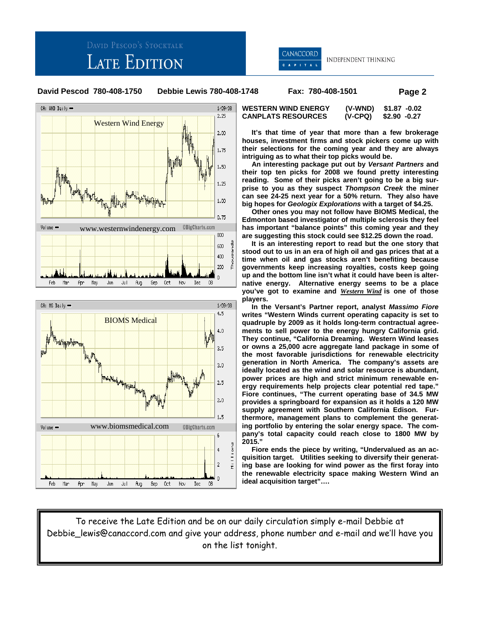## **LATE EDITION**



INDEPENDENT THINKING

**David Pescod 780-408-1750 Debbie Lewis 780-408-1748 Fax: 780-408-1501 Page 2** 





 **It's that time of year that more than a few brokerage houses, investment firms and stock pickers come up with their selections for the coming year and they are always intriguing as to what their top picks would be.** 

 **An interesting package put out by** *Versant Partners* **and their top ten picks for 2008 we found pretty interesting reading. Some of their picks aren't going to be a big surprise to you as they suspect** *Thompson Creek* **the miner can see 24-25 next year for a 50% return. They also have big hopes for** *Geologix Explorations* **with a target of \$4.25.** 

 **Other ones you may not follow have BIOMS Medical, the Edmonton based investigator of multiple sclerosis they feel has important "balance points" this coming year and they are suggesting this stock could see \$12.25 down the road.** 

 **It is an interesting report to read but the one story that stood out to us in an era of high oil and gas prices that at a time when oil and gas stocks aren't benefiting because governments keep increasing royalties, costs keep going up and the bottom line isn't what it could have been is alternative energy. Alternative energy seems to be a place you've got to examine and** *Western Wind* **is one of those players.** 

 **In the Versant's Partner report, analyst** *Massimo Fiore*  **writes "Western Winds current operating capacity is set to quadruple by 2009 as it holds long-term contractual agreements to sell power to the energy hungry California grid. They continue, "California Dreaming. Western Wind leases or owns a 25,000 acre aggregate land package in some of the most favorable jurisdictions for renewable electricity generation in North America. The company's assets are ideally located as the wind and solar resource is abundant, power prices are high and strict minimum renewable energy requirements help projects clear potential red tape." Fiore continues, "The current operating base of 34.5 MW provides a springboard for expansion as it holds a 120 MW supply agreement with Southern California Edison. Furthermore, management plans to complement the generating portfolio by entering the solar energy space. The company's total capacity could reach close to 1800 MW by 2015."** 

 **Fiore ends the piece by writing, "Undervalued as an acquisition target. Utilities seeking to diversify their generating base are looking for wind power as the first foray into the renewable electricity space making Western Wind an ideal acquisition target"….** 

To receive the Late Edition and be on our daily circulation simply e-mail Debbie at Debbie\_lewis@canaccord.com and give your address, phone number and e-mail and we'll have you on the list tonight.